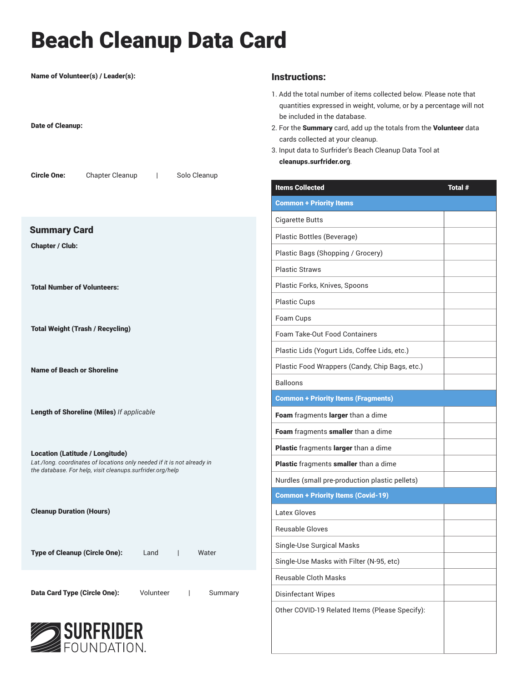## Beach Cleanup Data Card

| Name of Volunteer(s) / Leader(s):<br><b>Date of Cleanup:</b>                                                      | Instru<br>1. Add t<br>quan<br>be in<br>2. For th<br>cards<br>3. Input<br>clear |
|-------------------------------------------------------------------------------------------------------------------|--------------------------------------------------------------------------------|
| Chapter Cleanup   Solo Cleanup<br><b>Circle One:</b>                                                              | <b>Items</b><br><b>Comm</b>                                                    |
| <b>Summary Card</b>                                                                                               | Cigare                                                                         |
| <b>Chapter / Club:</b>                                                                                            | Plastio                                                                        |
|                                                                                                                   | Plastio                                                                        |
|                                                                                                                   | Plastio                                                                        |
| <b>Total Number of Volunteers:</b>                                                                                | Plastio                                                                        |
|                                                                                                                   | Plastio                                                                        |
| <b>Total Weight (Trash / Recycling)</b>                                                                           | Foam                                                                           |
|                                                                                                                   | Foam                                                                           |
|                                                                                                                   | Plastio                                                                        |
| <b>Name of Beach or Shoreline</b>                                                                                 | Plastio                                                                        |
|                                                                                                                   | Balloo                                                                         |
| Length of Shoreline (Miles) If applicable                                                                         | <b>Comm</b>                                                                    |
|                                                                                                                   | Foam                                                                           |
|                                                                                                                   | Foam                                                                           |
| <b>Location (Latitude / Longitude)</b><br>Lat./long. coordinates of locations only needed if it is not already in | <b>Plastio</b><br><b>Plastio</b>                                               |
| the database. For help, visit cleanups.surfrider.org/help                                                         | Nurdle                                                                         |
|                                                                                                                   | <b>Comm</b>                                                                    |
| <b>Cleanup Duration (Hours)</b>                                                                                   | Latex                                                                          |
|                                                                                                                   | Reusa                                                                          |
|                                                                                                                   | Single                                                                         |
| <b>Type of Cleanup (Circle One):</b><br>Land<br>Water<br>$\perp$                                                  |                                                                                |
|                                                                                                                   | Single<br>Reusa                                                                |
| <b>Data Card Type (Circle One):</b><br>Volunteer<br>$\Box$<br>Summary                                             | Disinf                                                                         |
|                                                                                                                   | Other                                                                          |
|                                                                                                                   |                                                                                |

## SURFRIDER

## **Ictions:**

- the total number of items collected below. Please note that tities expressed in weight, volume, or by a percentage will not cluded in the database.
- he Summary card, add up the totals from the Volunteer data s collected at your cleanup.
- data to Surfrider's Beach Cleanup Data Tool at nups.surfrider.org.

| <b>Items Collected</b>                         | <b>Total #</b> |
|------------------------------------------------|----------------|
| <b>Common + Priority Items</b>                 |                |
| Cigarette Butts                                |                |
| Plastic Bottles (Beverage)                     |                |
| Plastic Bags (Shopping / Grocery)              |                |
| <b>Plastic Straws</b>                          |                |
| Plastic Forks, Knives, Spoons                  |                |
| Plastic Cups                                   |                |
| Foam Cups                                      |                |
| <b>Foam Take-Out Food Containers</b>           |                |
| Plastic Lids (Yogurt Lids, Coffee Lids, etc.)  |                |
| Plastic Food Wrappers (Candy, Chip Bags, etc.) |                |
| <b>Balloons</b>                                |                |
| <b>Common + Priority Items (Fragments)</b>     |                |
| Foam fragments larger than a dime              |                |
| Foam fragments smaller than a dime             |                |
| Plastic fragments larger than a dime           |                |
| Plastic fragments smaller than a dime          |                |
| Nurdles (small pre-production plastic pellets) |                |
| <b>Common + Priority Items (Covid-19)</b>      |                |
| Latex Gloves                                   |                |
| <b>Reusable Gloves</b>                         |                |
| Single-Use Surgical Masks                      |                |
| Single-Use Masks with Filter (N-95, etc)       |                |
| <b>Reusable Cloth Masks</b>                    |                |
| <b>Disinfectant Wipes</b>                      |                |
| Other COVID-19 Related Items (Please Specify): |                |
|                                                |                |
|                                                |                |
|                                                |                |